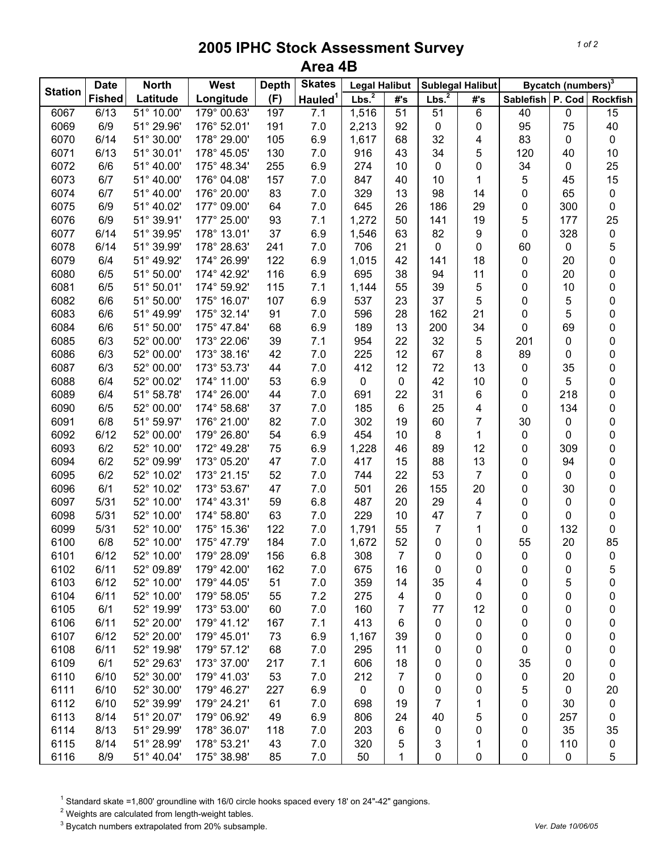## **2005 IPHC Stock Assessment Survey Area 4B**

|                | <b>Date</b>   | <b>North</b> | West        | <b>Depth</b> | <b>Skates</b>       | <b>Legal Halibut</b> |                | <b>Sublegal Halibut</b> |                |                  | Bycatch (numbers) <sup>3</sup> |                 |
|----------------|---------------|--------------|-------------|--------------|---------------------|----------------------|----------------|-------------------------|----------------|------------------|--------------------------------|-----------------|
| <b>Station</b> | <b>Fished</b> | Latitude     | Longitude   | (F)          | Hauled <sup>1</sup> | Lbs. <sup>2</sup>    | #s             | Lbs. <sup>2</sup>       | #'s            | Sablefish P. Cod |                                | <b>Rockfish</b> |
| 6067           | 6/13          | 51° 10.00'   | 179° 00.63' | 197          | 7.1                 | 1,516                | 51             | 51                      | 6              | 40               | 0                              | $\overline{15}$ |
| 6069           | 6/9           | 51° 29.96'   | 176° 52.01' | 191          | 7.0                 | 2,213                | 92             | 0                       | 0              | 95               | 75                             | 40              |
| 6070           | 6/14          | 51° 30.00'   | 178° 29.00' | 105          | 6.9                 | 1,617                | 68             | 32                      | 4              | 83               | 0                              | $\pmb{0}$       |
| 6071           | 6/13          | 51° 30.01'   | 178° 45.05' | 130          | 7.0                 | 916                  | 43             | 34                      | 5              | 120              | 40                             | 10              |
| 6072           | 6/6           | 51° 40.00'   | 175° 48.34' | 255          | 6.9                 | 274                  | 10             | 0                       | 0              | 34               | 0                              | 25              |
| 6073           | 6/7           | 51° 40.00'   | 176° 04.08' | 157          | 7.0                 | 847                  | 40             | 10                      | 1              | 5                | 45                             | 15              |
| 6074           | 6/7           | 51° 40.00'   | 176° 20.00' | 83           | 7.0                 | 329                  | 13             | 98                      | 14             | 0                | 65                             | 0               |
| 6075           | 6/9           | 51° 40.02'   | 177° 09.00' | 64           | 7.0                 | 645                  | 26             | 186                     | 29             | 0                | 300                            | 0               |
| 6076           | 6/9           | 51° 39.91'   | 177° 25.00' | 93           | 7.1                 | 1,272                | 50             | 141                     | 19             | 5                | 177                            | 25              |
| 6077           | 6/14          | 51° 39.95'   | 178° 13.01' | 37           | 6.9                 | 1,546                | 63             | 82                      | 9              | 0                | 328                            | 0               |
| 6078           | 6/14          | 51° 39.99'   | 178° 28.63' | 241          | 7.0                 | 706                  | 21             | 0                       | 0              | 60               | 0                              | 5               |
| 6079           | 6/4           | 51° 49.92'   | 174° 26.99' | 122          | 6.9                 | 1,015                | 42             | 141                     | 18             | 0                | 20                             | $\pmb{0}$       |
| 6080           | 6/5           | 51° 50.00'   | 174° 42.92' | 116          | 6.9                 | 695                  | 38             | 94                      | 11             | 0                | 20                             | $\pmb{0}$       |
| 6081           | 6/5           | 51° 50.01'   | 174° 59.92' | 115          | 7.1                 | 1,144                | 55             | 39                      | 5              | 0                | 10                             | $\pmb{0}$       |
| 6082           | 6/6           | 51° 50.00'   | 175° 16.07' | 107          | 6.9                 | 537                  | 23             | 37                      | 5              | 0                | 5                              | 0               |
| 6083           | 6/6           | 51° 49.99'   | 175° 32.14' | 91           | 7.0                 | 596                  | 28             | 162                     | 21             | 0                | 5                              | 0               |
| 6084           | 6/6           | 51° 50.00'   | 175° 47.84' | 68           | 6.9                 | 189                  | 13             | 200                     | 34             | 0                | 69                             | 0               |
| 6085           | 6/3           | 52° 00.00'   | 173° 22.06' | 39           | 7.1                 | 954                  | 22             | 32                      | 5              | 201              | 0                              | $\mathbf 0$     |
| 6086           | 6/3           | 52° 00.00'   | 173° 38.16' | 42           | 7.0                 | 225                  | 12             | 67                      | 8              | 89               | 0                              | $\pmb{0}$       |
| 6087           | 6/3           | 52° 00.00'   | 173° 53.73' | 44           | 7.0                 | 412                  | 12             | 72                      | 13             | 0                | 35                             | 0               |
| 6088           | 6/4           | 52° 00.02'   | 174° 11.00' | 53           | 6.9                 | 0                    | 0              | 42                      | 10             | 0                | 5                              | 0               |
| 6089           | 6/4           | 51° 58.78'   | 174° 26.00' | 44           | $7.0\,$             | 691                  | 22             | 31                      | 6              | 0                | 218                            | 0               |
| 6090           | 6/5           | 52° 00.00'   | 174° 58.68' | 37           | 7.0                 | 185                  | 6              | 25                      | 4              | 0                | 134                            | 0               |
| 6091           | 6/8           | 51° 59.97'   | 176° 21.00' | 82           | 7.0                 | 302                  | 19             | 60                      | 7              | 30               | 0                              | $\pmb{0}$       |
| 6092           | 6/12          | 52° 00.00'   | 179° 26.80' | 54           | 6.9                 | 454                  | 10             | 8                       | 1              | 0                | 0                              | 0               |
| 6093           | 6/2           | 52° 10.00'   | 172° 49.28' | 75           | 6.9                 | 1,228                | 46             | 89                      | 12             | 0                | 309                            | 0               |
| 6094           | 6/2           | 52° 09.99'   | 173° 05.20' | 47           | 7.0                 | 417                  | 15             | 88                      | 13             | 0                | 94                             | $\pmb{0}$       |
| 6095           | 6/2           | 52° 10.02'   | 173° 21.15' | 52           | 7.0                 | 744                  | 22             | 53                      | $\overline{7}$ | 0                | 0                              | 0               |
| 6096           | 6/1           | 52° 10.02'   | 173° 53.67' | 47           | 7.0                 | 501                  | 26             | 155                     | 20             | 0                | 30                             | 0               |
| 6097           | 5/31          | 52° 10.00'   | 174° 43.31' | 59           | 6.8                 | 487                  | 20             | 29                      | 4              | 0                | 0                              | $\pmb{0}$       |
| 6098           | 5/31          | 52° 10.00'   | 174° 58.80' | 63           | 7.0                 | 229                  | 10             | 47                      | 7              | 0                | 0                              | $\pmb{0}$       |
| 6099           | 5/31          | 52° 10.00'   | 175° 15.36' | 122          | 7.0                 | 1,791                | 55             | 7                       | 1              | 0                | 132                            | 0               |
| 6100           | 6/8           | 52° 10.00'   | 175° 47.79' | 184          | 7.0                 | 1,672                | 52             | 0                       | 0              | 55               | 20                             | 85              |
| 6101           | 6/12          | 52° 10.00'   | 179° 28.09' | 156          | 6.8                 | 308                  | $\overline{7}$ | 0                       | $\pmb{0}$      | 0                | $\mathbf 0$                    | $\pmb{0}$       |
| 6102           | 6/11          | 52° 09.89'   | 179° 42.00' | 162          | 7.0                 | 675                  | 16             | 0                       | 0              | 0                | 0                              | 5               |
| 6103           | 6/12          | 52° 10.00'   | 179° 44.05' | 51           | 7.0                 | 359                  | 14             | 35                      | 4              | 0                | 5                              | 0               |
| 6104           | 6/11          | 52° 10.00'   | 179° 58.05' | 55           | 7.2                 | 275                  | 4              | 0                       | 0              | 0                | 0                              | 0               |
| 6105           | 6/1           | 52° 19.99'   | 173° 53.00' | 60           | 7.0                 | 160                  | 7              | 77                      | 12             | 0                | 0                              | 0               |
| 6106           | 6/11          | 52° 20.00'   | 179° 41.12' | 167          | 7.1                 | 413                  | 6              | 0                       | $\pmb{0}$      | 0                | 0                              | 0               |
| 6107           | 6/12          | 52° 20.00'   | 179° 45.01' | 73           | 6.9                 | 1,167                | 39             | 0                       | 0              | 0                | 0                              | 0               |
| 6108           | 6/11          | 52° 19.98'   | 179° 57.12' | 68           | 7.0                 | 295                  | 11             | 0                       | 0              | 0                | 0                              | 0               |
| 6109           | 6/1           | 52° 29.63'   | 173° 37.00' | 217          | 7.1                 | 606                  | 18             | 0                       | 0              | 35               | 0                              | 0               |
| 6110           | 6/10          | 52° 30.00'   | 179° 41.03' | 53           | 7.0                 | 212                  | 7              | 0                       | 0              | 0                | 20                             | 0               |
| 6111           | 6/10          | 52° 30.00'   | 179° 46.27' | 227          | 6.9                 | 0                    | 0              | 0                       | 0              | 5                | 0                              | 20              |
| 6112           | 6/10          | 52° 39.99'   | 179° 24.21' | 61           | 7.0                 | 698                  | 19             | 7                       | 1              | 0                | 30                             | 0               |
| 6113           | 8/14          | 51° 20.07'   | 179° 06.92' | 49           | 6.9                 | 806                  | 24             | 40                      | 5              | 0                | 257                            | 0               |
| 6114           | 8/13          | 51° 29.99'   | 178° 36.07' | 118          | 7.0                 | 203                  | 6              | 0                       | 0              | 0                | 35                             | 35              |
| 6115           | 8/14          | 51° 28.99'   | 178° 53.21' | 43           | 7.0                 | 320                  | 5              | 3                       | 1              | 0                | 110                            | 0               |
| 6116           | 8/9           | 51° 40.04'   | 175° 38.98' | 85           | 7.0                 | 50                   | 1              | 0                       | 0              | 0                | 0                              | 5               |

<sup>1</sup> Standard skate =1,800' groundline with 16/0 circle hooks spaced every 18' on 24"-42" gangions.<br><sup>2</sup> Weights are calculated from length-weight tables.<br><sup>3</sup> Bycatch numbers extrapolated from 20% subsample.